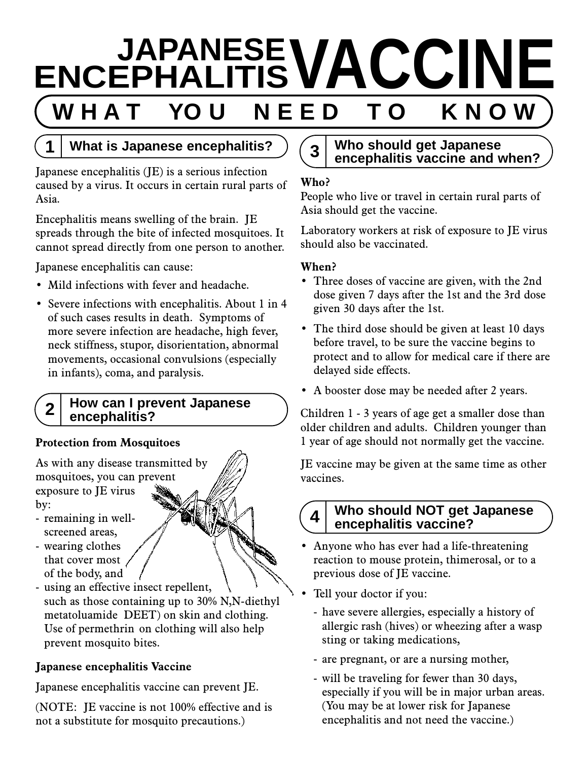# **ENCEPHALITISVACCINE** W H A T YOU N E E D T O



# **1 What is Japanese encephalitis?**

Japanese encephalitis (JE) is a serious infection caused by a virus. It occurs in certain rural parts of Asia.

Encephalitis means swelling of the brain. JE spreads through the bite of infected mosquitoes. It cannot spread directly from one person to another.

Japanese encephalitis can cause:

- Mild infections with fever and headache.
- Severe infections with encephalitis. About 1 in 4 of such cases results in death. Symptoms of more severe infection are headache, high fever, neck stiffness, stupor, disorientation, abnormal movements, occasional convulsions (especially in infants), coma, and paralysis.

### **2 How can I prevent Japanese encephalitis?**

# **Protection from Mosquitoes**

As with any disease transmitted by mosquitoes, you can prevent exposure to JE virus by:

- remaining in wellscreened areas,
- wearing clothes that cover most of the body, and
- using an effective insect repellent, such as those containing up to 30% N,N-diethyl metatoluamide DEET) on skin and clothing. Use of permethrin on clothing will also help prevent mosquito bites.

# **Japanese encephalitis Vaccine**

Japanese encephalitis vaccine can prevent JE.

(NOTE: JE vaccine is not 100% effective and is not a substitute for mosquito precautions.)

# **3 Who should get Japanese encephalitis vaccine and when?**

# **Who?**

People who live or travel in certain rural parts of Asia should get the vaccine.

Laboratory workers at risk of exposure to JE virus should also be vaccinated.

# **When?**

- Three doses of vaccine are given, with the 2nd dose given 7 days after the 1st and the 3rd dose given 30 days after the 1st.
- The third dose should be given at least 10 days before travel, to be sure the vaccine begins to protect and to allow for medical care if there are delayed side effects.
- A booster dose may be needed after 2 years.

Children 1 - 3 years of age get a smaller dose than older children and adults. Children younger than 1 year of age should not normally get the vaccine.

JE vaccine may be given at the same time as other vaccines.

# **4 Who should NOT get Japanese encephalitis vaccine?**

- Anyone who has ever had a life-threatening reaction to mouse protein, thimerosal, or to a previous dose of JE vaccine.
- Tell your doctor if you:
	- have severe allergies, especially a history of allergic rash (hives) or wheezing after a wasp sting or taking medications,
	- are pregnant, or are a nursing mother,
	- will be traveling for fewer than 30 days, especially if you will be in major urban areas. (You may be at lower risk for Japanese encephalitis and not need the vaccine.)